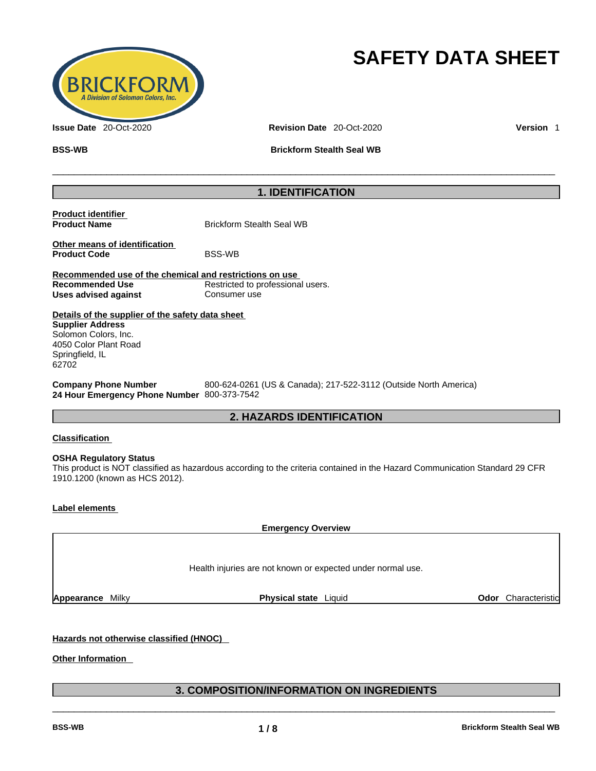

# **SAFETY DATA SHEET**

**Issue Date** 20-Oct-2020 **Revision Date** 20-Oct-2020 **Version** 1

**BSS-WB Brickform Stealth Seal WB**

# **1. IDENTIFICATION**

\_\_\_\_\_\_\_\_\_\_\_\_\_\_\_\_\_\_\_\_\_\_\_\_\_\_\_\_\_\_\_\_\_\_\_\_\_\_\_\_\_\_\_\_\_\_\_\_\_\_\_\_\_\_\_\_\_\_\_\_\_\_\_\_\_\_\_\_\_\_\_\_\_\_\_\_\_\_\_\_\_\_\_\_\_\_\_\_\_\_\_\_\_

| <b>Product identifier</b><br><b>Product Name</b>                                                                                                         | <b>Brickform Stealth Seal WB</b>                                                                                            |                            |
|----------------------------------------------------------------------------------------------------------------------------------------------------------|-----------------------------------------------------------------------------------------------------------------------------|----------------------------|
| Other means of identification<br><b>Product Code</b>                                                                                                     | <b>BSS-WB</b>                                                                                                               |                            |
| Recommended use of the chemical and restrictions on use<br><b>Recommended Use</b><br><b>Uses advised against</b>                                         | Restricted to professional users.<br>Consumer use                                                                           |                            |
| Details of the supplier of the safety data sheet<br><b>Supplier Address</b><br>Solomon Colors, Inc.<br>4050 Color Plant Road<br>Springfield, IL<br>62702 |                                                                                                                             |                            |
| <b>Company Phone Number</b><br>24 Hour Emergency Phone Number 800-373-7542                                                                               | 800-624-0261 (US & Canada); 217-522-3112 (Outside North America)                                                            |                            |
|                                                                                                                                                          | <b>2. HAZARDS IDENTIFICATION</b>                                                                                            |                            |
| <b>Classification</b>                                                                                                                                    |                                                                                                                             |                            |
| <b>OSHA Regulatory Status</b><br>1910.1200 (known as HCS 2012).                                                                                          | This product is NOT classified as hazardous according to the criteria contained in the Hazard Communication Standard 29 CFR |                            |
| <b>Label elements</b>                                                                                                                                    |                                                                                                                             |                            |
|                                                                                                                                                          | <b>Emergency Overview</b>                                                                                                   |                            |
|                                                                                                                                                          |                                                                                                                             |                            |
|                                                                                                                                                          | Health injuries are not known or expected under normal use.                                                                 |                            |
| <b>Appearance Milky</b>                                                                                                                                  | Physical state Liquid                                                                                                       | <b>Odor</b> Characteristic |

# **Hazards not otherwise classified (HNOC)**

**Other Information** 

# **3. COMPOSITION/INFORMATION ON INGREDIENTS**   $\_$  ,  $\_$  ,  $\_$  ,  $\_$  ,  $\_$  ,  $\_$  ,  $\_$  ,  $\_$  ,  $\_$  ,  $\_$  ,  $\_$  ,  $\_$  ,  $\_$  ,  $\_$  ,  $\_$  ,  $\_$  ,  $\_$  ,  $\_$  ,  $\_$  ,  $\_$  ,  $\_$  ,  $\_$  ,  $\_$  ,  $\_$  ,  $\_$  ,  $\_$  ,  $\_$  ,  $\_$  ,  $\_$  ,  $\_$  ,  $\_$  ,  $\_$  ,  $\_$  ,  $\_$  ,  $\_$  ,  $\_$  ,  $\_$  ,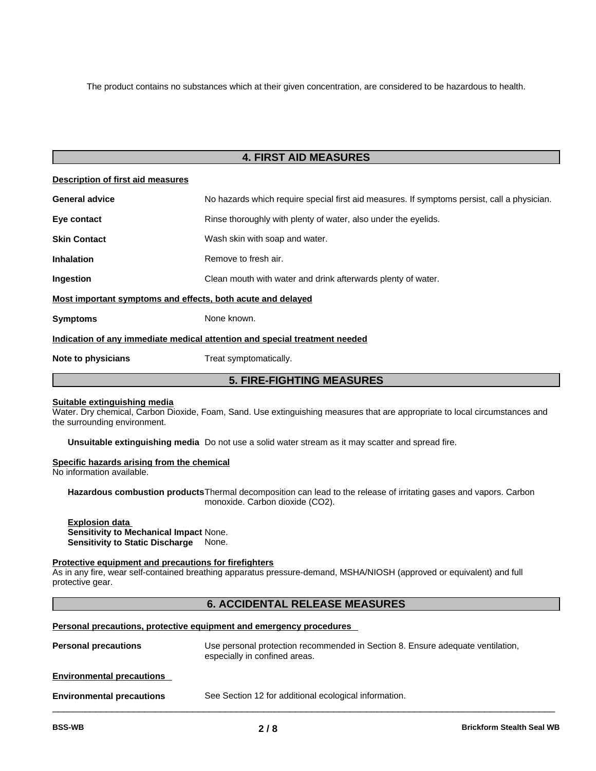The product contains no substances which at their given concentration, are considered to be hazardous to health.

# **4. FIRST AID MEASURES**

| Description of first aid measures                                          |                                                                                             |  |  |
|----------------------------------------------------------------------------|---------------------------------------------------------------------------------------------|--|--|
| <b>General advice</b>                                                      | No hazards which require special first aid measures. If symptoms persist, call a physician. |  |  |
| Eye contact                                                                | Rinse thoroughly with plenty of water, also under the eyelids.                              |  |  |
| <b>Skin Contact</b>                                                        | Wash skin with soap and water.                                                              |  |  |
| <b>Inhalation</b>                                                          | Remove to fresh air.                                                                        |  |  |
| <b>Ingestion</b>                                                           | Clean mouth with water and drink afterwards plenty of water.                                |  |  |
| Most important symptoms and effects, both acute and delayed                |                                                                                             |  |  |
| <b>Symptoms</b>                                                            | None known.                                                                                 |  |  |
| Indication of any immediate medical attention and special treatment needed |                                                                                             |  |  |
| Note to physicians                                                         | Treat symptomatically.                                                                      |  |  |

# **5. FIRE-FIGHTING MEASURES**

#### **Suitable extinguishing media**

Water. Dry chemical, Carbon Dioxide, Foam, Sand. Use extinguishing measures that are appropriate to local circumstances and the surrounding environment.

**Unsuitable extinguishing media** Do not use a solid water stream as it may scatter and spread fire.

#### **Specific hazards arising from the chemical**

No information available.

**Hazardous combustion products**Thermal decomposition can lead to the release of irritating gases and vapors. Carbon monoxide. Carbon dioxide (CO2).

#### **Explosion data Sensitivity to Mechanical Impact** None. **Sensitivity to Static Discharge** None.

## **Protective equipment and precautions for firefighters**

As in any fire, wear self-contained breathing apparatus pressure-demand, MSHA/NIOSH (approved or equivalent) and full protective gear.

# **6. ACCIDENTAL RELEASE MEASURES**

## **Personal precautions, protective equipment and emergency procedures**

| <b>Personal precautions</b>      | Use personal protection recommended in Section 8. Ensure adequate ventilation,<br>especially in confined areas. |
|----------------------------------|-----------------------------------------------------------------------------------------------------------------|
| <b>Environmental precautions</b> |                                                                                                                 |
| <b>Environmental precautions</b> | See Section 12 for additional ecological information.                                                           |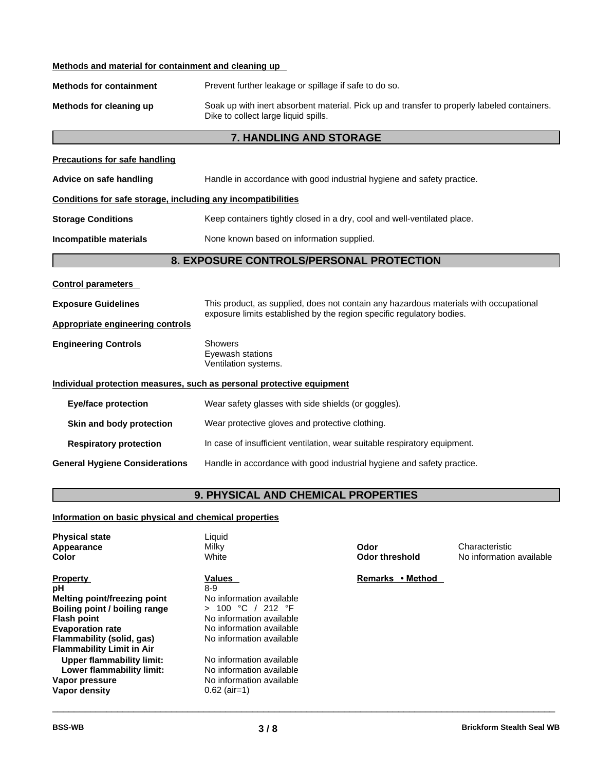| Methods and material for containment and cleaning up |
|------------------------------------------------------|
|------------------------------------------------------|

| <b>Methods for containment</b> | Prevent further leakage or spillage if safe to do so. |
|--------------------------------|-------------------------------------------------------|
|--------------------------------|-------------------------------------------------------|

**Methods for cleaning up** Soak up with inert absorbent material. Pick up and transfer to properly labeled containers. Dike to collect large liquid spills.

# **7. HANDLING AND STORAGE**

| <b>Precautions for safe handling</b>                                  |                                                                                                                                                                |  |  |  |
|-----------------------------------------------------------------------|----------------------------------------------------------------------------------------------------------------------------------------------------------------|--|--|--|
| Advice on safe handling                                               | Handle in accordance with good industrial hygiene and safety practice.                                                                                         |  |  |  |
| Conditions for safe storage, including any incompatibilities          |                                                                                                                                                                |  |  |  |
| <b>Storage Conditions</b>                                             | Keep containers tightly closed in a dry, cool and well-ventilated place.                                                                                       |  |  |  |
| Incompatible materials                                                | None known based on information supplied.                                                                                                                      |  |  |  |
|                                                                       | 8. EXPOSURE CONTROLS/PERSONAL PROTECTION                                                                                                                       |  |  |  |
| Control parameters                                                    |                                                                                                                                                                |  |  |  |
| <b>Exposure Guidelines</b>                                            | This product, as supplied, does not contain any hazardous materials with occupational<br>exposure limits established by the region specific regulatory bodies. |  |  |  |
| <b>Appropriate engineering controls</b>                               |                                                                                                                                                                |  |  |  |
| <b>Engineering Controls</b>                                           | <b>Showers</b><br>Eyewash stations<br>Ventilation systems.                                                                                                     |  |  |  |
| Individual protection measures, such as personal protective equipment |                                                                                                                                                                |  |  |  |
| <b>Eye/face protection</b>                                            | Wear safety glasses with side shields (or goggles).                                                                                                            |  |  |  |
| Skin and body protection                                              | Wear protective gloves and protective clothing.                                                                                                                |  |  |  |
| <b>Respiratory protection</b>                                         | In case of insufficient ventilation, wear suitable respiratory equipment.                                                                                      |  |  |  |
| <b>General Hygiene Considerations</b>                                 | Handle in accordance with good industrial hygiene and safety practice.                                                                                         |  |  |  |
|                                                                       |                                                                                                                                                                |  |  |  |

# **9. PHYSICAL AND CHEMICAL PROPERTIES**

# **Information on basic physical and chemical properties**

| <b>Physical state</b><br>Appearance<br>Color                                                                                  | Liquid<br>Milky<br>White                                                                           | Odor<br><b>Odor threshold</b> | Characteristic<br>No information available |
|-------------------------------------------------------------------------------------------------------------------------------|----------------------------------------------------------------------------------------------------|-------------------------------|--------------------------------------------|
| <b>Property</b><br>рH<br>Melting point/freezing point                                                                         | <b>Values</b><br>8-9<br>No information available                                                   | • Method<br><b>Remarks</b>    |                                            |
| Boiling point / boiling range<br><b>Flash point</b>                                                                           | 100 °C / 212 °F<br>$\geq$<br>No information available                                              |                               |                                            |
| <b>Evaporation rate</b><br>Flammability (solid, gas)                                                                          | No information available<br>No information available                                               |                               |                                            |
| <b>Flammability Limit in Air</b><br>Upper flammability limit:<br>Lower flammability limit:<br>Vapor pressure<br>Vapor density | No information available<br>No information available<br>No information available<br>$0.62$ (air=1) |                               |                                            |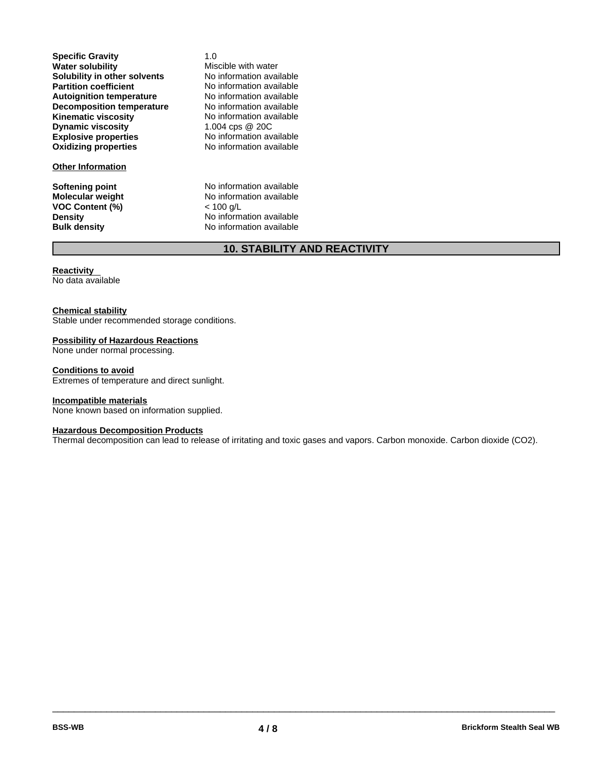**Explosive properties** No information available **Oxidizing properties** No information available **Specific Gravity** 1.0<br> **Water solubility** Mis **Solubility in other solvents** No information available<br> **Partition coefficient** No information available **Partition coefficient**<br> **Autoignition temperature**<br>
No information available **Autoignition temperature No information available**<br> **Decomposition temperature No information available Decomposition temperature** No information available<br>**Kinematic viscosity** No information available **Kinematic viscosity**<br> **Dynamic viscosity**<br>  $1.004 \text{cps} \ @ \ 200$ **Dynamic viscosity** 

#### **Other Information**

**VOC Content (%)**<br>Density

**Miscible with water<br>No information available** 

**Softening point**<br> **Molecular weight**<br> **Molecular weight**<br> **Molecular weight**<br> **Molecular weight** No information available<br>
< 100 g/L **Density Density No information available**<br> **Bulk density No information available No information available** 

# **10. STABILITY AND REACTIVITY**

## **Reactivity**

No data available

#### **Chemical stability**

Stable under recommended storage conditions.

#### **Possibility of Hazardous Reactions**

None under normal processing.

#### **Conditions to avoid**

Extremes of temperature and direct sunlight.

#### **Incompatible materials**

None known based on information supplied.

#### **Hazardous Decomposition Products**

Thermal decomposition can lead to release of irritating and toxic gases and vapors. Carbon monoxide. Carbon dioxide (CO2).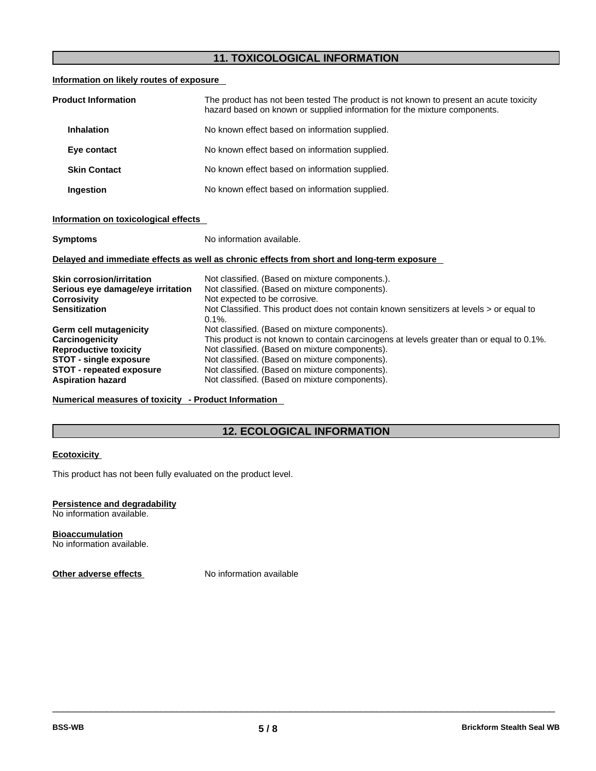# **11. TOXICOLOGICAL INFORMATION**

# **Information on likely routes of exposure**

| <b>Product Information</b> | The product has not been tested The product is not known to present an acute toxicity<br>hazard based on known or supplied information for the mixture components. |
|----------------------------|--------------------------------------------------------------------------------------------------------------------------------------------------------------------|
| <b>Inhalation</b>          | No known effect based on information supplied.                                                                                                                     |
| Eye contact                | No known effect based on information supplied.                                                                                                                     |
| <b>Skin Contact</b>        | No known effect based on information supplied.                                                                                                                     |
| <b>Ingestion</b>           | No known effect based on information supplied.                                                                                                                     |

# **Information on toxicological effects**

| <b>Symptoms</b>                                                                            | No information available.                                                                            |  |
|--------------------------------------------------------------------------------------------|------------------------------------------------------------------------------------------------------|--|
| Delayed and immediate effects as well as chronic effects from short and long-term exposure |                                                                                                      |  |
| <b>Skin corrosion/irritation</b>                                                           | Not classified. (Based on mixture components.).                                                      |  |
| Serious eye damage/eye irritation                                                          | Not classified. (Based on mixture components).                                                       |  |
| <b>Corrosivity</b>                                                                         | Not expected to be corrosive.                                                                        |  |
| <b>Sensitization</b>                                                                       | Not Classified. This product does not contain known sensitizers at levels > or equal to<br>$0.1\%$ . |  |
| Germ cell mutagenicity                                                                     | Not classified. (Based on mixture components).                                                       |  |
| Carcinogenicity                                                                            | This product is not known to contain carcinogens at levels greater than or equal to 0.1%.            |  |
| <b>Reproductive toxicity</b>                                                               | Not classified. (Based on mixture components).                                                       |  |
| <b>STOT - single exposure</b>                                                              | Not classified. (Based on mixture components).                                                       |  |
| <b>STOT - repeated exposure</b>                                                            | Not classified. (Based on mixture components).                                                       |  |
| <b>Aspiration hazard</b>                                                                   | Not classified. (Based on mixture components).                                                       |  |

## **Numerical measures of toxicity - Product Information**

# **12. ECOLOGICAL INFORMATION**

#### **Ecotoxicity**

This product has not been fully evaluated on the product level.

# **Persistence and degradability**

No information available.

**Bioaccumulation** No information available.

**Other adverse effects** No information available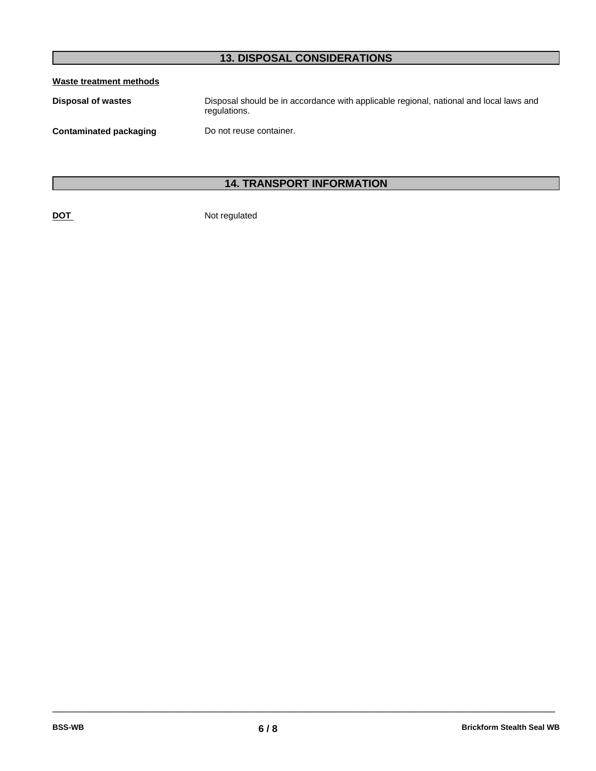# **13. DISPOSAL CONSIDERATIONS**

# **Waste treatment methods**

| Disposal of wastes     | Disposal should be in accordance with applicable regional, national and local laws and<br>regulations. |
|------------------------|--------------------------------------------------------------------------------------------------------|
| Contaminated packaging | Do not reuse container.                                                                                |

# **14. TRANSPORT INFORMATION**

**DOT** Not regulated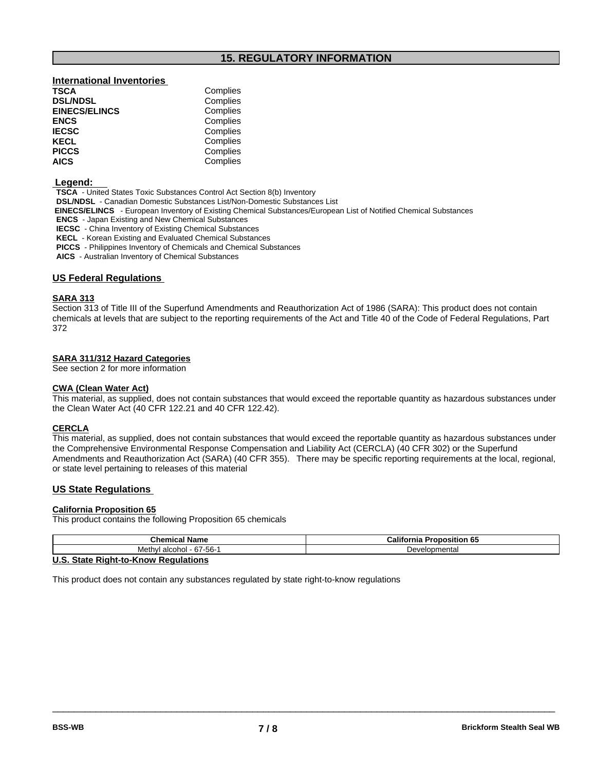# **15. REGULATORY INFORMATION**

## **International Inventories**

| Complies |
|----------|
| Complies |
| Complies |
| Complies |
| Complies |
| Complies |
| Complies |
| Complies |
|          |

#### **Legend:**

**TSCA** - United States Toxic Substances Control Act Section 8(b) Inventory

**DSL/NDSL** - Canadian Domestic Substances List/Non-Domestic Substances List

 **EINECS/ELINCS** - European Inventory of Existing Chemical Substances/European List of Notified Chemical Substances

**ENCS** - Japan Existing and New Chemical Substances

**IECSC** - China Inventory of Existing Chemical Substances

**KECL** - Korean Existing and Evaluated Chemical Substances

**PICCS** - Philippines Inventory of Chemicals and Chemical Substances

**AICS** - Australian Inventory of Chemical Substances

#### **US Federal Regulations**

## **SARA 313**

Section 313 of Title III of the Superfund Amendments and Reauthorization Act of 1986 (SARA): This product does not contain chemicals at levels that are subject to the reporting requirements of the Act and Title 40 of the Code of Federal Regulations, Part 372

#### **SARA 311/312 Hazard Categories**

See section 2 for more information

#### **CWA** (Clean Water Act)

This material, as supplied, does not contain substances that would exceed the reportable quantity as hazardous substances under the Clean Water Act (40 CFR 122.21 and 40 CFR 122.42).

#### **CERCLA**

This material, as supplied, does not contain substances that would exceed the reportable quantity as hazardous substances under the Comprehensive Environmental Response Compensation and Liability Act(CERCLA) (40 CFR 302) or the Superfund Amendments and Reauthorization Act (SARA) (40 CFR 355). There may be specific reporting requirements at the local, regional, or state level pertaining to releases of this material

### **US State Regulations**

# **California Proposition 65**

This product contains the following Proposition 65 chemicals

| <b>Chamber</b><br>Name<br>Chemica.                | <br><b>Proposition 65</b><br>California ⊄ |  |
|---------------------------------------------------|-------------------------------------------|--|
| - 67-56-<br>Meth<br>alcohol -<br>וער              | elopmental<br>Je.                         |  |
| $\mathbf{r}$ . $\mathbf{r}$<br>-<br>.<br>. .<br>. |                                           |  |

 $\_$  ,  $\_$  ,  $\_$  ,  $\_$  ,  $\_$  ,  $\_$  ,  $\_$  ,  $\_$  ,  $\_$  ,  $\_$  ,  $\_$  ,  $\_$  ,  $\_$  ,  $\_$  ,  $\_$  ,  $\_$  ,  $\_$  ,  $\_$  ,  $\_$  ,  $\_$  ,  $\_$  ,  $\_$  ,  $\_$  ,  $\_$  ,  $\_$  ,  $\_$  ,  $\_$  ,  $\_$  ,  $\_$  ,  $\_$  ,  $\_$  ,  $\_$  ,  $\_$  ,  $\_$  ,  $\_$  ,  $\_$  ,  $\_$  ,

### **U.S. State Right-to-Know Regulations**

This product does not contain any substances regulated by state right-to-know regulations